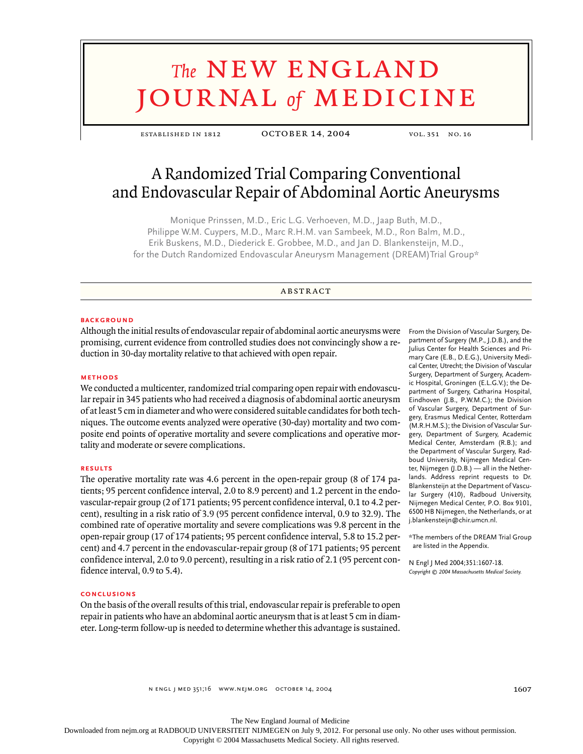# **The NEW ENGLAND** journal *of* medicine

established in 1812 october 14, 2004 vol. 351 no. 16

# A Randomized Trial Comparing Conventional and Endovascular Repair of Abdominal Aortic Aneurysms

Monique Prinssen, M.D., Eric L.G. Verhoeven, M.D., Jaap Buth, M.D., Philippe W.M. Cuypers, M.D., Marc R.H.M. van Sambeek, M.D., Ron Balm, M.D., Erik Buskens, M.D., Diederick E. Grobbee, M.D., and Jan D. Blankensteijn, M.D., for the Dutch Randomized Endovascular Aneurysm Management (DREAM)Trial Group\*

### **ABSTRACT**

# **background**

Although the initial results of endovascular repair of abdominal aortic aneurysms were promising, current evidence from controlled studies does not convincingly show a reduction in 30-day mortality relative to that achieved with open repair.

#### **methods**

We conducted a multicenter, randomized trial comparing open repair with endovascular repair in 345 patients who had received a diagnosis of abdominal aortic aneurysm of at least 5 cm in diameter and who were considered suitable candidates for both techniques. The outcome events analyzed were operative (30-day) mortality and two composite end points of operative mortality and severe complications and operative mortality and moderate or severe complications.

# **results**

The operative mortality rate was 4.6 percent in the open-repair group (8 of 174 patients; 95 percent confidence interval, 2.0 to 8.9 percent) and 1.2 percent in the endovascular-repair group (2 of 171 patients; 95 percent confidence interval, 0.1 to 4.2 percent), resulting in a risk ratio of 3.9 (95 percent confidence interval, 0.9 to 32.9). The combined rate of operative mortality and severe complications was 9.8 percent in the open-repair group (17 of 174 patients; 95 percent confidence interval, 5.8 to 15.2 percent) and 4.7 percent in the endovascular-repair group (8 of 171 patients; 95 percent confidence interval, 2.0 to 9.0 percent), resulting in a risk ratio of 2.1 (95 percent confidence interval, 0.9 to 5.4).

# **conclusions**

On the basis of the overall results of this trial, endovascular repair is preferable to open repair in patients who have an abdominal aortic aneurysm that is at least 5 cm in diameter. Long-term follow-up is needed to determine whether this advantage is sustained.

From the Division of Vascular Surgery, Department of Surgery (M.P., J.D.B.), and the Julius Center for Health Sciences and Primary Care (E.B., D.E.G.), University Medical Center, Utrecht; the Division of Vascular Surgery, Department of Surgery, Academic Hospital, Groningen (E.L.G.V.); the Department of Surgery, Catharina Hospital, Eindhoven (J.B., P.W.M.C.); the Division of Vascular Surgery, Department of Surgery, Erasmus Medical Center, Rotterdam (M.R.H.M.S.); the Division of Vascular Surgery, Department of Surgery, Academic Medical Center, Amsterdam (R.B.); and the Department of Vascular Surgery, Radboud University, Nijmegen Medical Center, Nijmegen (J.D.B.) — all in the Netherlands. Address reprint requests to Dr. Blankensteijn at the Department of Vascular Surgery (410), Radboud University, Nijmegen Medical Center, P.O. Box 9101, 6500 HB Nijmegen, the Netherlands, or at j.blankensteijn@chir.umcn.nl.

\*The members of the DREAM Trial Group are listed in the Appendix.

N Engl J Med 2004;351:1607-18. *Copyright © 2004 Massachusetts Medical Society.*

The New England Journal of Medicine

Downloaded from nejm.org at RADBOUD UNIVERSITEIT NIJMEGEN on July 9, 2012. For personal use only. No other uses without permission.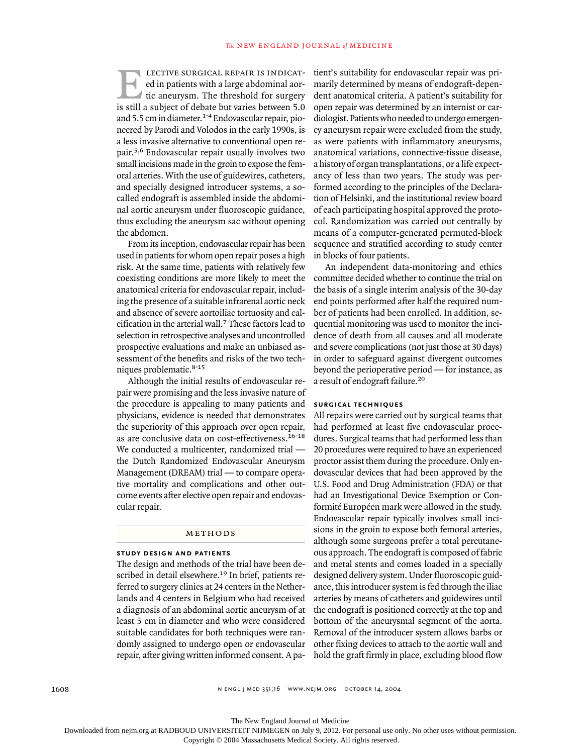lective surgical repair is indicated in patients with a large abdominal aortic aneurysm. The threshold for surgery is still a subject of debate but varies between 5.0 and 5.5 cm in diameter.<sup>1-4</sup> Endovascular repair, pioneered by Parodi and Volodos in the early 1990s, is a less invasive alternative to conventional open repair.5,6 Endovascular repair usually involves two small incisions made in the groin to expose the femoral arteries. With the use of guidewires, catheters, and specially designed introducer systems, a socalled endograft is assembled inside the abdominal aortic aneurysm under fluoroscopic guidance, thus excluding the aneurysm sac without opening the abdomen. E

From its inception, endovascular repair has been used in patients for whom open repair poses a high risk. At the same time, patients with relatively few coexisting conditions are more likely to meet the anatomical criteria for endovascular repair, including the presence of a suitable infrarenal aortic neck and absence of severe aortoiliac tortuosity and calcification in the arterial wall.7 These factors lead to selection in retrospective analyses and uncontrolled prospective evaluations and make an unbiased assessment of the benefits and risks of the two techniques problematic.8-15

Although the initial results of endovascular repair were promising and the less invasive nature of the procedure is appealing to many patients and physicians, evidence is needed that demonstrates the superiority of this approach over open repair, as are conclusive data on cost-effectiveness.<sup>16-18</sup> We conducted a multicenter, randomized trial the Dutch Randomized Endovascular Aneurysm Management (DREAM) trial — to compare operative mortality and complications and other outcome events after elective open repair and endovascular repair.

#### methods

# **study design and patients**

The design and methods of the trial have been described in detail elsewhere.<sup>19</sup> In brief, patients referred to surgery clinics at 24 centers in the Netherlands and 4 centers in Belgium who had received a diagnosis of an abdominal aortic aneurysm of at least 5 cm in diameter and who were considered suitable candidates for both techniques were randomly assigned to undergo open or endovascular repair, after giving written informed consent. A pa-

tient's suitability for endovascular repair was primarily determined by means of endograft-dependent anatomical criteria. A patient's suitability for open repair was determined by an internist or cardiologist. Patients who needed to undergo emergency aneurysm repair were excluded from the study, as were patients with inflammatory aneurysms, anatomical variations, connective-tissue disease, a history of organ transplantations, or a life expectancy of less than two years. The study was performed according to the principles of the Declaration of Helsinki, and the institutional review board of each participating hospital approved the protocol. Randomization was carried out centrally by means of a computer-generated permuted-block sequence and stratified according to study center in blocks of four patients.

An independent data-monitoring and ethics committee decided whether to continue the trial on the basis of a single interim analysis of the 30-day end points performed after half the required number of patients had been enrolled. In addition, sequential monitoring was used to monitor the incidence of death from all causes and all moderate and severe complications (not just those at 30 days) in order to safeguard against divergent outcomes beyond the perioperative period — for instance, as a result of endograft failure.<sup>20</sup>

# **surgical techniques**

All repairs were carried out by surgical teams that had performed at least five endovascular procedures. Surgical teams that had performed less than 20 procedures were required to have an experienced proctor assist them during the procedure. Only endovascular devices that had been approved by the U.S. Food and Drug Administration (FDA) or that had an Investigational Device Exemption or Conformité Européen mark were allowed in the study. Endovascular repair typically involves small incisions in the groin to expose both femoral arteries, although some surgeons prefer a total percutaneous approach. The endograft is composed of fabric and metal stents and comes loaded in a specially designed delivery system. Under fluoroscopic guidance, this introducer system is fed through the iliac arteries by means of catheters and guidewires until the endograft is positioned correctly at the top and bottom of the aneurysmal segment of the aorta. Removal of the introducer system allows barbs or other fixing devices to attach to the aortic wall and hold the graft firmly in place, excluding blood flow

The New England Journal of Medicine

Downloaded from nejm.org at RADBOUD UNIVERSITEIT NIJMEGEN on July 9, 2012. For personal use only. No other uses without permission.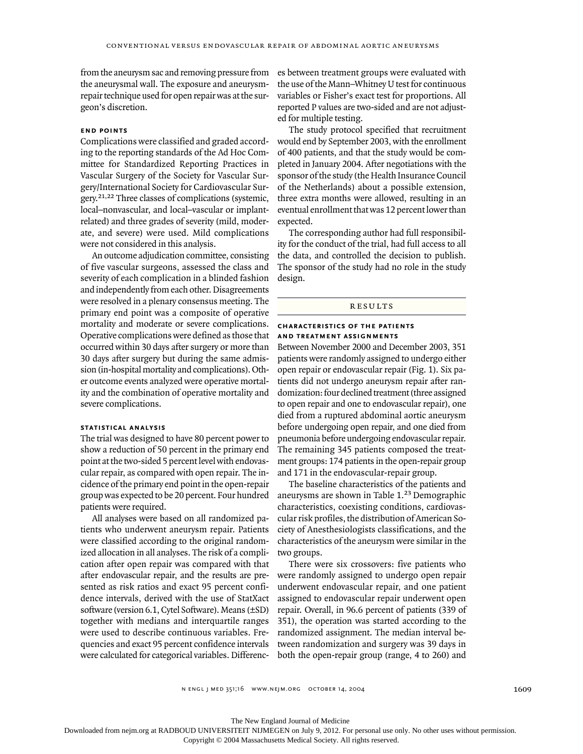from the aneurysm sac and removing pressure from the aneurysmal wall. The exposure and aneurysmrepair technique used for open repair was at the surgeon's discretion.

#### **end points**

Complications were classified and graded according to the reporting standards of the Ad Hoc Committee for Standardized Reporting Practices in Vascular Surgery of the Society for Vascular Surgery/International Society for Cardiovascular Surgery.21,22 Three classes of complications (systemic, local–nonvascular, and local–vascular or implantrelated) and three grades of severity (mild, moderate, and severe) were used. Mild complications were not considered in this analysis.

An outcome adjudication committee, consisting of five vascular surgeons, assessed the class and severity of each complication in a blinded fashion and independently from each other. Disagreements were resolved in a plenary consensus meeting. The primary end point was a composite of operative mortality and moderate or severe complications. Operative complications were defined as those that occurred within 30 days after surgery or more than 30 days after surgery but during the same admission (in-hospital mortality and complications). Other outcome events analyzed were operative mortality and the combination of operative mortality and severe complications.

#### **statistical analysis**

The trial was designed to have 80 percent power to show a reduction of 50 percent in the primary end point at the two-sided 5 percent level with endovascular repair, as compared with open repair. The incidence of the primary end point in the open-repair group was expected to be 20 percent. Four hundred patients were required.

All analyses were based on all randomized patients who underwent aneurysm repair. Patients were classified according to the original randomized allocation in all analyses. The risk of a complication after open repair was compared with that after endovascular repair, and the results are presented as risk ratios and exact 95 percent confidence intervals, derived with the use of StatXact software (version 6.1, Cytel Software). Means (±SD) together with medians and interquartile ranges were used to describe continuous variables. Frequencies and exact 95 percent confidence intervals were calculated for categorical variables. Differences between treatment groups were evaluated with the use of the Mann–Whitney U test for continuous variables or Fisher's exact test for proportions. All reported P values are two-sided and are not adjusted for multiple testing.

The study protocol specified that recruitment would end by September 2003, with the enrollment of 400 patients, and that the study would be completed in January 2004. After negotiations with the sponsor of the study (the Health Insurance Council of the Netherlands) about a possible extension, three extra months were allowed, resulting in an eventual enrollment that was 12 percent lower than expected.

The corresponding author had full responsibility for the conduct of the trial, had full access to all the data, and controlled the decision to publish. The sponsor of the study had no role in the study design.

#### **RESULTS**

#### **characteristics of the patientsand treatment assignments**

Between November 2000 and December 2003, 351 patients were randomly assigned to undergo either open repair or endovascular repair (Fig. 1). Six patients did not undergo aneurysm repair after randomization: four declined treatment (three assigned to open repair and one to endovascular repair), one died from a ruptured abdominal aortic aneurysm before undergoing open repair, and one died from pneumonia before undergoing endovascular repair. The remaining 345 patients composed the treatment groups: 174 patients in the open-repair group and 171 in the endovascular-repair group.

The baseline characteristics of the patients and aneurysms are shown in Table 1.23 Demographic characteristics, coexisting conditions, cardiovascular risk profiles, the distribution of American Society of Anesthesiologists classifications, and the characteristics of the aneurysm were similar in the two groups.

There were six crossovers: five patients who were randomly assigned to undergo open repair underwent endovascular repair, and one patient assigned to endovascular repair underwent open repair. Overall, in 96.6 percent of patients (339 of 351), the operation was started according to the randomized assignment. The median interval between randomization and surgery was 39 days in both the open-repair group (range, 4 to 260) and

The New England Journal of Medicine

Downloaded from nejm.org at RADBOUD UNIVERSITEIT NIJMEGEN on July 9, 2012. For personal use only. No other uses without permission.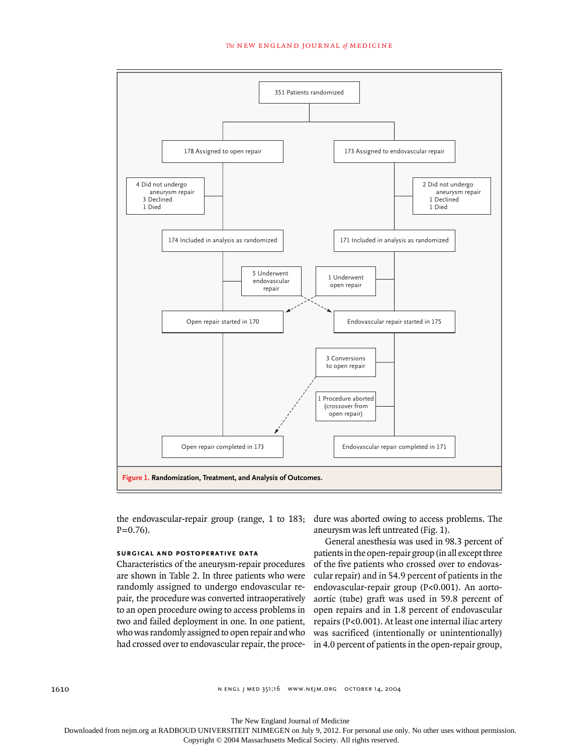#### *The* new england journal *of* medicine



the endovascular-repair group (range, 1 to 183;  $P=0.76$ ).

# **surgical and postoperative data**

Characteristics of the aneurysm-repair procedures are shown in Table 2. In three patients who were randomly assigned to undergo endovascular repair, the procedure was converted intraoperatively to an open procedure owing to access problems in two and failed deployment in one. In one patient, who was randomly assigned to open repair and who had crossed over to endovascular repair, the procedure was aborted owing to access problems. The aneurysm was left untreated (Fig. 1).

General anesthesia was used in 98.3 percent of patients in the open-repair group (in all except three of the five patients who crossed over to endovascular repair) and in 54.9 percent of patients in the endovascular-repair group (P<0.001). An aortoaortic (tube) graft was used in 59.8 percent of open repairs and in 1.8 percent of endovascular repairs (P<0.001). At least one internal iliac artery was sacrificed (intentionally or unintentionally) in 4.0 percent of patients in the open-repair group,

n engl j med 351;16 www.nejm.org october 14, 2004

The New England Journal of Medicine Downloaded from nejm.org at RADBOUD UNIVERSITEIT NIJMEGEN on July 9, 2012. For personal use only. No other uses without permission.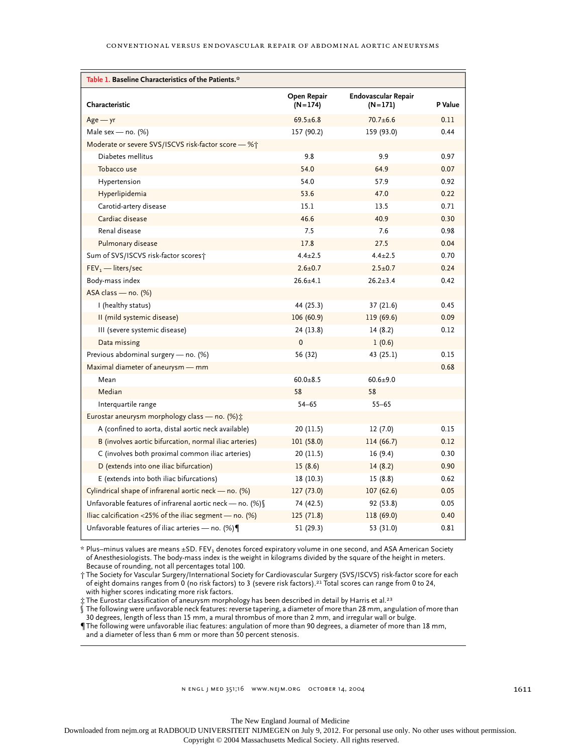| Table 1. Baseline Characteristics of the Patients.*         |                          |                                  |         |  |
|-------------------------------------------------------------|--------------------------|----------------------------------|---------|--|
| Characteristic                                              | Open Repair<br>$(N=174)$ | Endovascular Repair<br>$(N=171)$ | P Value |  |
| $Age - yr$                                                  | $69.5 \pm 6.8$           | $70.7 + 6.6$                     | 0.11    |  |
| Male sex - no. $(%)$                                        | 157 (90.2)               | 159 (93.0)                       | 0.44    |  |
| Moderate or severe SVS/ISCVS risk-factor score - %†         |                          |                                  |         |  |
| Diabetes mellitus                                           | 9.8                      | 9.9                              | 0.97    |  |
| Tobacco use                                                 | 54.0                     | 64.9                             | 0.07    |  |
| Hypertension                                                | 54.0                     | 57.9                             | 0.92    |  |
| Hyperlipidemia                                              | 53.6                     | 47.0                             | 0.22    |  |
| Carotid-artery disease                                      | 15.1                     | 13.5                             | 0.71    |  |
| Cardiac disease                                             | 46.6                     | 40.9                             | 0.30    |  |
| Renal disease                                               | 7.5                      | 7.6                              | 0.98    |  |
| Pulmonary disease                                           | 17.8                     | 27.5                             | 0.04    |  |
| Sum of SVS/ISCVS risk-factor scores†                        | $4.4 \pm 2.5$            | $4.4 \pm 2.5$                    | 0.70    |  |
| $FEV1$ - liters/sec                                         | $2.6 \pm 0.7$            | $2.5 \pm 0.7$                    | 0.24    |  |
| Body-mass index                                             | $26.6 \pm 4.1$           | $26.2 \pm 3.4$                   | 0.42    |  |
| ASA class - no. (%)                                         |                          |                                  |         |  |
| I (healthy status)                                          | 44 (25.3)                | 37(21.6)                         | 0.45    |  |
| II (mild systemic disease)                                  | 106(60.9)                | 119 (69.6)                       | 0.09    |  |
| III (severe systemic disease)                               | 24 (13.8)                | 14(8.2)                          | 0.12    |  |
| Data missing                                                | $\mathbf 0$              | 1(0.6)                           |         |  |
| Previous abdominal surgery - no. (%)                        | 56 (32)                  | 43 (25.1)                        | 0.15    |  |
| Maximal diameter of aneurysm — mm                           |                          |                                  | 0.68    |  |
| Mean                                                        | $60.0 + 8.5$             | $60.6 + 9.0$                     |         |  |
| Median                                                      | 58                       | 58                               |         |  |
| Interquartile range                                         | $54 - 65$                | $55 - 65$                        |         |  |
| Eurostar aneurysm morphology class - no. (%) ±              |                          |                                  |         |  |
| A (confined to aorta, distal aortic neck available)         | 20 (11.5)                | 12(7.0)                          | 0.15    |  |
| B (involves aortic bifurcation, normal iliac arteries)      | 101(58.0)                | 114 (66.7)                       | 0.12    |  |
| C (involves both proximal common iliac arteries)            | 20 (11.5)                | 16(9.4)                          | 0.30    |  |
| D (extends into one iliac bifurcation)                      | 15(8.6)                  | 14(8.2)                          | 0.90    |  |
| E (extends into both iliac bifurcations)                    | 18(10.3)                 | 15(8.8)                          | 0.62    |  |
| Cylindrical shape of infrarenal aortic neck - no. (%)       | 127 (73.0)               | 107(62.6)                        | 0.05    |  |
| Unfavorable features of infrarenal aortic neck - no. $(\%)$ | 74 (42.5)                | 92 (53.8)                        | 0.05    |  |
| Iliac calcification <25% of the iliac segment $-$ no. (%)   | 125(71.8)                | 118 (69.0)                       | 0.40    |  |
| Unfavorable features of iliac arteries $-$ no. (%)          | 51 (29.3)                | 53 (31.0)                        | 0.81    |  |

 $*$  Plus–minus values are means  $\pm$ SD. FEV<sub>1</sub> denotes forced expiratory volume in one second, and ASA American Society of Anesthesiologists. The body-mass index is the weight in kilograms divided by the square of the height in meters. Because of rounding, not all percentages total 100.

† The Society for Vascular Surgery/International Society for Cardiovascular Surgery (SVS/ISCVS) risk-factor score for each of eight domains ranges from 0 (no risk factors) to 3 (severe risk factors).21 Total scores can range from 0 to 24, with higher scores indicating more risk factors.

 $\ddagger$  The Eurostar classification of aneurysm morphology has been described in detail by Harris et al.<sup>23</sup>

The following were unfavorable neck features: reverse tapering, a diameter of more than 28 mm, angulation of more than

30 degrees, length of less than 15 mm, a mural thrombus of more than 2 mm, and irregular wall or bulge.

¶The following were unfavorable iliac features: angulation of more than 90 degrees, a diameter of more than 18 mm, and a diameter of less than 6 mm or more than 50 percent stenosis.

The New England Journal of Medicine

Downloaded from nejm.org at RADBOUD UNIVERSITEIT NIJMEGEN on July 9, 2012. For personal use only. No other uses without permission.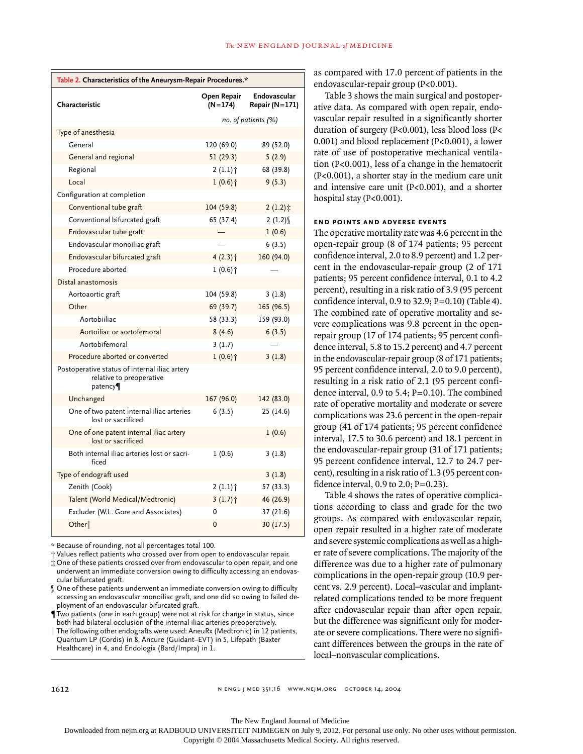| Table 2. Characteristics of the Aneurysm-Repair Procedures.*                         |                          |                                    |  |
|--------------------------------------------------------------------------------------|--------------------------|------------------------------------|--|
| Characteristic                                                                       | Open Repair<br>$(N=174)$ | Endovascular<br>Repair ( $N=171$ ) |  |
|                                                                                      |                          | no. of patients (%)                |  |
| Type of anesthesia                                                                   |                          |                                    |  |
| General                                                                              | 120 (69.0)               | 89 (52.0)                          |  |
| General and regional                                                                 | 51 (29.3)                | 5(2.9)                             |  |
| Regional                                                                             | $2(1.1)$ <sup>+</sup>    | 68 (39.8)                          |  |
| Local                                                                                | $1(0.6)$ <sup>+</sup>    | 9(5.3)                             |  |
| Configuration at completion                                                          |                          |                                    |  |
| Conventional tube graft                                                              | 104 (59.8)               | 2(1.2)                             |  |
| Conventional bifurcated graft                                                        | 65 (37.4)                | 2(1.2)                             |  |
| Endovascular tube graft                                                              |                          | 1(0.6)                             |  |
| Endovascular monoiliac graft                                                         |                          | 6(3.5)                             |  |
| Endovascular bifurcated graft                                                        | 4 (2.3) +                | 160 (94.0)                         |  |
| Procedure aborted                                                                    | $1(0.6)$ <sup>+</sup>    |                                    |  |
| Distal anastomosis                                                                   |                          |                                    |  |
| Aortoaortic graft                                                                    | 104 (59.8)               | 3(1.8)                             |  |
| Other                                                                                | 69 (39.7)                | 165 (96.5)                         |  |
| Aortobiiliac                                                                         | 58 (33.3)                | 159 (93.0)                         |  |
| Aortoiliac or aortofemoral                                                           | 8(4.6)                   | 6(3.5)                             |  |
| Aortobifemoral                                                                       | 3(1.7)                   |                                    |  |
| Procedure aborted or converted                                                       | $1(0.6)$ <sup>+</sup>    | 3(1.8)                             |  |
| Postoperative status of internal iliac artery<br>relative to preoperative<br>patency |                          |                                    |  |
| Unchanged                                                                            | 167 (96.0)               | 142 (83.0)                         |  |
| One of two patent internal iliac arteries<br>lost or sacrificed                      | 6(3.5)                   | 25(14.6)                           |  |
| One of one patent internal iliac artery<br>lost or sacrificed                        |                          | 1(0.6)                             |  |
| Both internal iliac arteries lost or sacri-<br>ficed                                 | 1(0.6)                   | 3(1.8)                             |  |
| Type of endograft used                                                               |                          | 3(1.8)                             |  |
| Zenith (Cook)                                                                        | $2(1.1)$ <sup>+</sup>    | 57 (33.3)                          |  |
| Talent (World Medical/Medtronic)                                                     | $3(1.7)$ <sup>+</sup>    | 46 (26.9)                          |  |
| Excluder (W.L. Gore and Associates)                                                  | 0                        | 37 (21.6)                          |  |
| Other                                                                                | 0                        | 30 (17.5)                          |  |

\* Because of rounding, not all percentages total 100.

† Values reflect patients who crossed over from open to endovascular repair. ‡ One of these patients crossed over from endovascular to open repair, and one underwent an immediate conversion owing to difficulty accessing an endovas-

cular bifurcated graft. § One of these patients underwent an immediate conversion owing to difficulty accessing an endovascular monoiliac graft, and one did so owing to failed deployment of an endovascular bifurcated graft.

¶Two patients (one in each group) were not at risk for change in status, since both had bilateral occlusion of the internal iliac arteries preoperatively.

 $\parallel$  The following other endografts were used: AneuRx (Medtronic) in 12 patients, Quantum LP (Cordis) in 8, Ancure (Guidant–EVT) in 5, Lifepath (Baxter Healthcare) in 4, and Endologix (Bard/Impra) in 1.

as compared with 17.0 percent of patients in the endovascular-repair group (P<0.001).

Table 3 shows the main surgical and postoperative data. As compared with open repair, endovascular repair resulted in a significantly shorter duration of surgery (P<0.001), less blood loss (P< 0.001) and blood replacement (P<0.001), a lower rate of use of postoperative mechanical ventilation (P<0.001), less of a change in the hematocrit (P<0.001), a shorter stay in the medium care unit and intensive care unit (P<0.001), and a shorter hospital stay (P<0.001).

# **end points and adverse events**

The operative mortality rate was 4.6 percent in the open-repair group (8 of 174 patients; 95 percent confidence interval, 2.0 to 8.9 percent) and 1.2 percent in the endovascular-repair group (2 of 171 patients; 95 percent confidence interval, 0.1 to 4.2 percent), resulting in a risk ratio of 3.9 (95 percent confidence interval,  $0.9$  to  $32.9$ ;  $P=0.10$ ) (Table 4). The combined rate of operative mortality and severe complications was 9.8 percent in the openrepair group (17 of 174 patients; 95 percent confidence interval, 5.8 to 15.2 percent) and 4.7 percent in the endovascular-repair group (8 of 171 patients; 95 percent confidence interval, 2.0 to 9.0 percent), resulting in a risk ratio of 2.1 (95 percent confidence interval, 0.9 to 5.4; P=0.10). The combined rate of operative mortality and moderate or severe complications was 23.6 percent in the open-repair group (41 of 174 patients; 95 percent confidence interval, 17.5 to 30.6 percent) and 18.1 percent in the endovascular-repair group (31 of 171 patients; 95 percent confidence interval, 12.7 to 24.7 percent), resulting in a risk ratio of 1.3 (95 percent confidence interval,  $0.9$  to  $2.0$ ;  $P=0.23$ ).

Table 4 shows the rates of operative complications according to class and grade for the two groups. As compared with endovascular repair, open repair resulted in a higher rate of moderate and severe systemic complications as well as a higher rate of severe complications. The majority of the difference was due to a higher rate of pulmonary complications in the open-repair group (10.9 percent vs. 2.9 percent). Local–vascular and implantrelated complications tended to be more frequent after endovascular repair than after open repair, but the difference was significant only for moderate or severe complications. There were no significant differences between the groups in the rate of local–nonvascular complications.

The New England Journal of Medicine

Downloaded from nejm.org at RADBOUD UNIVERSITEIT NIJMEGEN on July 9, 2012. For personal use only. No other uses without permission.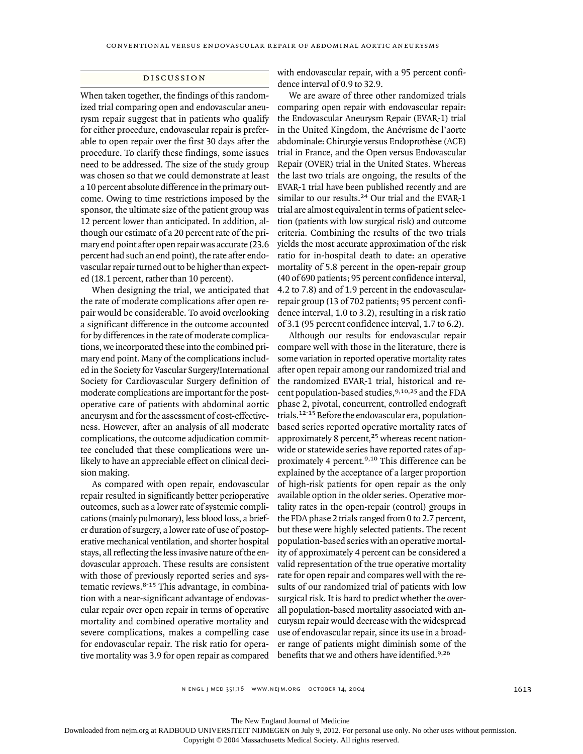## discussion

When taken together, the findings of this randomized trial comparing open and endovascular aneurysm repair suggest that in patients who qualify for either procedure, endovascular repair is preferable to open repair over the first 30 days after the procedure. To clarify these findings, some issues need to be addressed. The size of the study group was chosen so that we could demonstrate at least a 10 percent absolute difference in the primary outcome. Owing to time restrictions imposed by the sponsor, the ultimate size of the patient group was 12 percent lower than anticipated. In addition, although our estimate of a 20 percent rate of the primary end point after open repair was accurate (23.6 percent had such an end point), the rate after endovascular repair turned out to be higher than expected (18.1 percent, rather than 10 percent).

When designing the trial, we anticipated that the rate of moderate complications after open repair would be considerable. To avoid overlooking a significant difference in the outcome accounted for by differences in the rate of moderate complications, we incorporated these into the combined primary end point. Many of the complications included in the Society for Vascular Surgery/International Society for Cardiovascular Surgery definition of moderate complications are important for the postoperative care of patients with abdominal aortic aneurysm and for the assessment of cost-effectiveness. However, after an analysis of all moderate complications, the outcome adjudication committee concluded that these complications were unlikely to have an appreciable effect on clinical decision making.

As compared with open repair, endovascular repair resulted in significantly better perioperative outcomes, such as a lower rate of systemic complications (mainly pulmonary), less blood loss, a briefer duration of surgery, a lower rate of use of postoperative mechanical ventilation, and shorter hospital stays, all reflecting the less invasive nature of the endovascular approach. These results are consistent with those of previously reported series and systematic reviews.8-15 This advantage, in combination with a near-significant advantage of endovascular repair over open repair in terms of operative mortality and combined operative mortality and severe complications, makes a compelling case for endovascular repair. The risk ratio for operative mortality was 3.9 for open repair as compared

with endovascular repair, with a 95 percent confidence interval of 0.9 to 32.9.

We are aware of three other randomized trials comparing open repair with endovascular repair: the Endovascular Aneurysm Repair (EVAR-1) trial in the United Kingdom, the Anévrisme de l'aorte abdominale: Chirurgie versus Endoprothèse (ACE) trial in France, and the Open versus Endovascular Repair (OVER) trial in the United States. Whereas the last two trials are ongoing, the results of the EVAR-1 trial have been published recently and are similar to our results.<sup>24</sup> Our trial and the EVAR-1 trial are almost equivalent in terms of patient selection (patients with low surgical risk) and outcome criteria. Combining the results of the two trials yields the most accurate approximation of the risk ratio for in-hospital death to date: an operative mortality of 5.8 percent in the open-repair group (40 of 690 patients; 95 percent confidence interval, 4.2 to 7.8) and of 1.9 percent in the endovascularrepair group (13 of 702 patients; 95 percent confidence interval, 1.0 to 3.2), resulting in a risk ratio of 3.1 (95 percent confidence interval, 1.7 to 6.2).

Although our results for endovascular repair compare well with those in the literature, there is some variation in reported operative mortality rates after open repair among our randomized trial and the randomized EVAR-1 trial, historical and recent population-based studies,9,10,25 and the FDA phase 2, pivotal, concurrent, controlled endograft trials.12-15 Before the endovascular era, populationbased series reported operative mortality rates of approximately 8 percent,<sup>25</sup> whereas recent nationwide or statewide series have reported rates of approximately 4 percent.<sup>9,10</sup> This difference can be explained by the acceptance of a larger proportion of high-risk patients for open repair as the only available option in the older series. Operative mortality rates in the open-repair (control) groups in the FDA phase 2 trials ranged from 0 to 2.7 percent, but these were highly selected patients. The recent population-based series with an operative mortality of approximately 4 percent can be considered a valid representation of the true operative mortality rate for open repair and compares well with the results of our randomized trial of patients with low surgical risk. It is hard to predict whether the overall population-based mortality associated with aneurysm repair would decrease with the widespread use of endovascular repair, since its use in a broader range of patients might diminish some of the benefits that we and others have identified.<sup>9,26</sup>

n engl j med 351;16 www.nejm.org october 14, 2004

The New England Journal of Medicine

Downloaded from nejm.org at RADBOUD UNIVERSITEIT NIJMEGEN on July 9, 2012. For personal use only. No other uses without permission.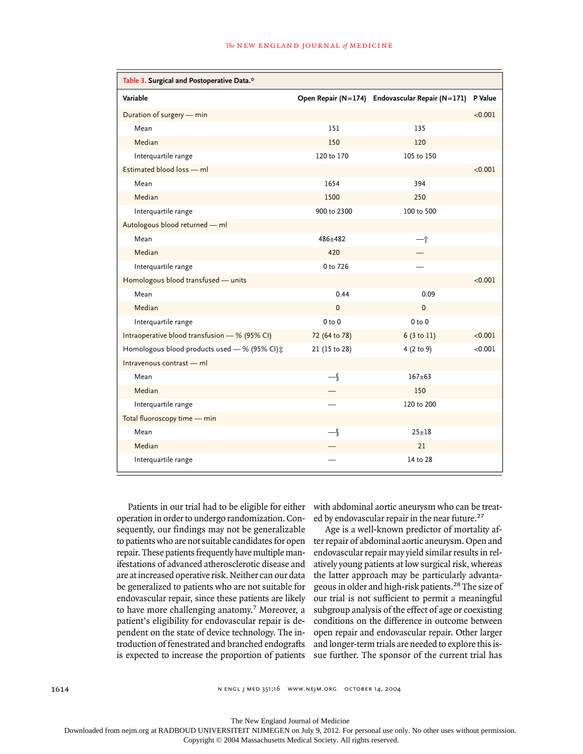| Table 3. Surgical and Postoperative Data.*    |                          |                                                 |         |
|-----------------------------------------------|--------------------------|-------------------------------------------------|---------|
| Variable                                      |                          | Open Repair (N=174) Endovascular Repair (N=171) | P Value |
| Duration of surgery - min                     |                          |                                                 | < 0.001 |
| Mean                                          | 151                      | 135                                             |         |
| Median                                        | 150                      | 120                                             |         |
| Interquartile range                           | 120 to 170               | 105 to 150                                      |         |
| Estimated blood loss - ml                     |                          |                                                 | < 0.001 |
| Mean                                          | 1654                     | 394                                             |         |
| Median                                        | 1500                     | 250                                             |         |
| Interquartile range                           | 900 to 2300              | 100 to 500                                      |         |
| Autologous blood returned - ml                |                          |                                                 |         |
| Mean                                          | $486 + 482$              | 一个                                              |         |
| Median                                        | 420                      |                                                 |         |
| Interquartile range                           | 0 to 726                 |                                                 |         |
| Homologous blood transfused - units           |                          |                                                 | < 0.001 |
| Mean                                          | 0.44                     | 0.09                                            |         |
| Median                                        | 0                        | $\mathbf 0$                                     |         |
| Interquartile range                           | $0$ to $0$               | $0$ to $0$                                      |         |
| Intraoperative blood transfusion - % (95% CI) | 72 (64 to 78)            | 6 (3 to 11)                                     | < 0.001 |
| Homologous blood products used - % (95% CI) : | 21 (15 to 28)            | 4 (2 to 9)                                      | < 0.001 |
| Intravenous contrast - ml                     |                          |                                                 |         |
| Mean                                          | $\overline{\phantom{a}}$ | $167 + 63$                                      |         |
| Median                                        |                          | 150                                             |         |
| Interquartile range                           |                          | 120 to 200                                      |         |
| Total fluoroscopy time - min                  |                          |                                                 |         |
| Mean                                          | $-\mathcal{I}$           | $25 + 18$                                       |         |
| Median                                        |                          | 21                                              |         |
| Interquartile range                           |                          | 14 to 28                                        |         |

Patients in our trial had to be eligible for either operation in order to undergo randomization. Consequently, our findings may not be generalizable to patients who are not suitable candidates for open repair. These patients frequently have multiple manifestations of advanced atherosclerotic disease and are at increased operative risk. Neither can our data be generalized to patients who are not suitable for endovascular repair, since these patients are likely to have more challenging anatomy.<sup>7</sup> Moreover, a patient's eligibility for endovascular repair is dependent on the state of device technology. The introduction of fenestrated and branched endografts is expected to increase the proportion of patients

with abdominal aortic aneurysm who can be treated by endovascular repair in the near future.<sup>27</sup>

Age is a well-known predictor of mortality after repair of abdominal aortic aneurysm. Open and endovascular repair may yield similar results in relatively young patients at low surgical risk, whereas the latter approach may be particularly advantageous in older and high-risk patients.28 The size of our trial is not sufficient to permit a meaningful subgroup analysis of the effect of age or coexisting conditions on the difference in outcome between open repair and endovascular repair. Other larger and longer-term trials are needed to explore this issue further. The sponsor of the current trial has

n engl j med 351;16 www.nejm.org october 14, 2004

The New England Journal of Medicine

Downloaded from nejm.org at RADBOUD UNIVERSITEIT NIJMEGEN on July 9, 2012. For personal use only. No other uses without permission.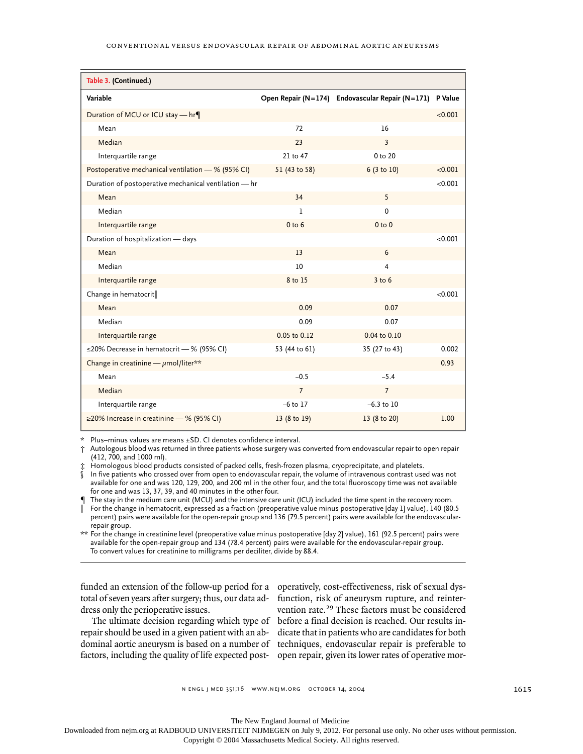#### conventional versus endovascular repair of abdominal aortic aneurysms

| Table 3. (Continued.)                                 |                   |                                                 |         |
|-------------------------------------------------------|-------------------|-------------------------------------------------|---------|
| Variable                                              |                   | Open Repair (N=174) Endovascular Repair (N=171) | P Value |
| Duration of MCU or ICU stay - hr¶                     |                   |                                                 | < 0.001 |
| Mean                                                  | 72                | 16                                              |         |
| Median                                                | 23                | 3                                               |         |
| Interquartile range                                   | 21 to 47          | 0 to 20                                         |         |
| Postoperative mechanical ventilation - % (95% CI)     | 51 (43 to 58)     | 6 (3 to 10)                                     | < 0.001 |
| Duration of postoperative mechanical ventilation - hr |                   |                                                 | < 0.001 |
| Mean                                                  | 34                | 5                                               |         |
| Median                                                | 1                 | $\mathbf 0$                                     |         |
| Interquartile range                                   | 0 <sub>to</sub> 6 | 0 <sub>to</sub> 0                               |         |
| Duration of hospitalization - days                    |                   |                                                 | < 0.001 |
| Mean                                                  | 13                | 6                                               |         |
| Median                                                | 10                | 4                                               |         |
| Interquartile range                                   | 8 to 15           | $3$ to $6$                                      |         |
| Change in hematocrit                                  |                   |                                                 | < 0.001 |
| Mean                                                  | 0.09              | 0.07                                            |         |
| Median                                                | 0.09              | 0.07                                            |         |
| Interquartile range                                   | 0.05 to 0.12      | 0.04 to 0.10                                    |         |
| $\leq$ 20% Decrease in hematocrit — % (95% CI)        | 53 (44 to 61)     | 35 (27 to 43)                                   | 0.002   |
| Change in creatinine $-\mu$ mol/liter**               |                   |                                                 | 0.93    |
| Mean                                                  | $-0.5$            | $-5.4$                                          |         |
| Median                                                | $7\overline{ }$   | $7\overline{ }$                                 |         |
| Interquartile range                                   | $-6$ to $17$      | $-6.3$ to 10                                    |         |
| ≥20% Increase in creatinine — % (95% CI)              | 13 (8 to 19)      | 13 (8 to 20)                                    | 1.00    |

Plus–minus values are means ±SD. CI denotes confidence interval.

† Autologous blood was returned in three patients whose surgery was converted from endovascular repair to open repair (412, 700, and 1000 ml).

Homologous blood products consisted of packed cells, fresh-frozen plasma, cryoprecipitate, and platelets.

In five patients who crossed over from open to endovascular repair, the volume of intravenous contrast used was not available for one and was 120, 129, 200, and 200 ml in the other four, and the total fluoroscopy time was not available for one and was 13, 37, 39, and 40 minutes in the other four.

The stay in the medium care unit (MCU) and the intensive care unit (ICU) included the time spent in the recovery room.

¿ For the change in hematocrit, expressed as a fraction (preoperative value minus postoperative [day 1] value), 140 (80.5 percent) pairs were available for the open-repair group and 136 (79.5 percent) pairs were available for the endovascularrepair group.

\*\* For the change in creatinine level (preoperative value minus postoperative [day 2] value), 161 (92.5 percent) pairs were available for the open-repair group and 134 (78.4 percent) pairs were available for the endovascular-repair group. To convert values for creatinine to milligrams per deciliter, divide by 88.4.

funded an extension of the follow-up period for a operatively, cost-effectiveness, risk of sexual dystotal of seven years after surgery; thus, our data ad-function, risk of aneurysm rupture, and reinterdress only the perioperative issues.

The ultimate decision regarding which type of repair should be used in a given patient with an abdominal aortic aneurysm is based on a number of techniques, endovascular repair is preferable to factors, including the quality of life expected post-open repair, given its lower rates of operative mor-

vention rate.<sup>29</sup> These factors must be considered before a final decision is reached. Our results indicate that in patients who are candidates for both

n engl j med 351;16 www.nejm.org october 14, 2004

1615

The New England Journal of Medicine

Downloaded from nejm.org at RADBOUD UNIVERSITEIT NIJMEGEN on July 9, 2012. For personal use only. No other uses without permission.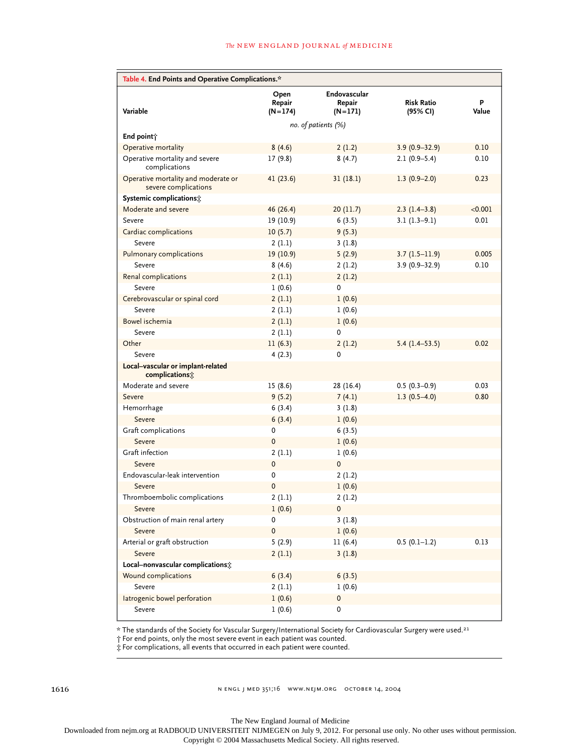#### *The* new england journal *of* medicine

| Table 4. End Points and Operative Complications.*           |                             |                                     |                               |            |
|-------------------------------------------------------------|-----------------------------|-------------------------------------|-------------------------------|------------|
| Variable                                                    | Open<br>Repair<br>$(N=174)$ | Endovascular<br>Repair<br>$(N=171)$ | <b>Risk Ratio</b><br>(95% CI) | P<br>Value |
| no. of patients (%)                                         |                             |                                     |                               |            |
| End point;                                                  |                             |                                     |                               |            |
| Operative mortality                                         | 8(4.6)                      | 2(1.2)                              | $3.9(0.9 - 32.9)$             | 0.10       |
| Operative mortality and severe<br>complications             | 17(9.8)                     | 8(4.7)                              | $2.1(0.9-5.4)$                | 0.10       |
| Operative mortality and moderate or<br>severe complications | 41(23.6)                    | 31(18.1)                            | $1.3(0.9-2.0)$                | 0.23       |
| Systemic complications;                                     |                             |                                     |                               |            |
| Moderate and severe                                         | 46 (26.4)                   | 20(11.7)                            | $2.3(1.4-3.8)$                | < 0.001    |
| Severe                                                      | 19 (10.9)                   | 6(3.5)                              | $3.1(1.3-9.1)$                | 0.01       |
| Cardiac complications                                       | 10(5.7)                     | 9(5.3)                              |                               |            |
| Severe                                                      | 2(1.1)                      | 3(1.8)                              |                               |            |
| Pulmonary complications                                     | 19(10.9)                    | 5(2.9)                              | $3.7(1.5-11.9)$               | 0.005      |
| Severe                                                      | 8(4.6)                      | 2(1.2)                              | $3.9(0.9 - 32.9)$             | 0.10       |
| Renal complications                                         | 2(1.1)                      | 2(1.2)                              |                               |            |
| Severe                                                      | 1(0.6)                      | 0                                   |                               |            |
| Cerebrovascular or spinal cord                              | 2(1.1)                      | 1(0.6)                              |                               |            |
| Severe                                                      | 2(1.1)                      | 1(0.6)                              |                               |            |
| Bowel ischemia                                              | 2(1.1)                      | 1(0.6)                              |                               |            |
| Severe                                                      | 2(1.1)                      | 0                                   |                               |            |
| Other                                                       | 11(6.3)                     | 2(1.2)                              | $5.4(1.4-53.5)$               | 0.02       |
| Severe                                                      | 4(2.3)                      | 0                                   |                               |            |
| Local-vascular or implant-related<br>complications:         |                             |                                     |                               |            |
| Moderate and severe                                         | 15(8.6)                     | 28 (16.4)                           | $0.5(0.3-0.9)$                | 0.03       |
| Severe                                                      | 9(5.2)                      | 7(4.1)                              | $1.3(0.5-4.0)$                | 0.80       |
| Hemorrhage                                                  | 6(3.4)                      | 3(1.8)                              |                               |            |
| Severe                                                      | 6(3.4)                      | 1(0.6)                              |                               |            |
| Graft complications                                         | 0                           | 6(3.5)                              |                               |            |
| Severe                                                      | $\mathbf 0$                 | 1(0.6)                              |                               |            |
| Graft infection                                             | 2(1.1)                      | 1(0.6)                              |                               |            |
| Severe                                                      | 0                           | 0                                   |                               |            |
| Endovascular-leak intervention                              | 0                           | 2(1.2)                              |                               |            |
| Severe                                                      | 0                           | 1(0.6)                              |                               |            |
| Thromboembolic complications                                | 2(1.1)                      | 2(1.2)                              |                               |            |
| Severe                                                      | 1(0.6)                      | 0                                   |                               |            |
| Obstruction of main renal artery                            | 0                           | 3(1.8)                              |                               |            |
| Severe                                                      | $\pmb{0}$                   | 1(0.6)                              |                               |            |
| Arterial or graft obstruction                               | 5(2.9)                      | 11(6.4)                             | $0.5(0.1-1.2)$                | 0.13       |
| Severe                                                      | 2(1.1)                      | 3(1.8)                              |                               |            |
| Local-nonvascular complications;                            |                             |                                     |                               |            |
| Wound complications                                         | 6(3.4)                      | 6(3.5)                              |                               |            |
| Severe                                                      | 2(1.1)                      | 1(0.6)                              |                               |            |
| latrogenic bowel perforation                                | 1(0.6)                      | 0                                   |                               |            |
| Severe                                                      | 1(0.6)                      | 0                                   |                               |            |

\* The standards of the Society for Vascular Surgery/International Society for Cardiovascular Surgery were used.<sup>21</sup>

† For end points, only the most severe event in each patient was counted.

‡ For complications, all events that occurred in each patient were counted.

n engl j med 351;16 www.nejm.org october 14, 2004

The New England Journal of Medicine Downloaded from nejm.org at RADBOUD UNIVERSITEIT NIJMEGEN on July 9, 2012. For personal use only. No other uses without permission.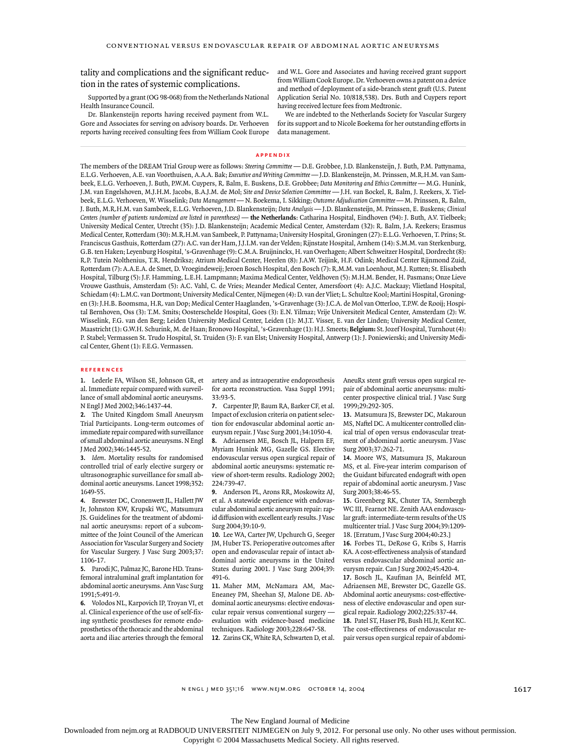tality and complications and the significant reduction in the rates of systemic complications.

Supported by a grant (OG 98-068) from the Netherlands National Health Insurance Council.

Dr. Blankensteijn reports having received payment from W.L. Gore and Associates for serving on advisory boards. Dr. Verhoeven reports having received consulting fees from William Cook Europe

and W.L. Gore and Associates and having received grant support from William Cook Europe. Dr. Verhoeven owns a patent on a device and method of deployment of a side-branch stent graft (U.S. Patent Application Serial No. 10/818,538). Drs. Buth and Cuypers report having received lecture fees from Medtronic.

We are indebted to the Netherlands Society for Vascular Surgery for its support and to Nicole Boekema for her outstanding efforts in data management.

#### **appendix**

The members of the DREAM Trial Group were as follows: *Steering Committee* — D.E. Grobbee, J.D. Blankensteijn, J. Buth, P.M. Pattynama, E.L.G. Verhoeven, A.E. van Voorthuisen, A.A.A. Bak; *Executive and Writing Committee* — J.D. Blankensteijn, M. Prinssen, M.R.H.M. van Sambeek, E.L.G. Verhoeven, J. Buth, P.W.M. Cuypers, R. Balm, E. Buskens, D.E. Grobbee; *Data Monitoring and Ethics Committee* — M.G. Hunink, J.M. van Engelshoven, M.J.H.M. Jacobs, B.A.J.M. de Mol; *Site and Device Selection Committee* — J.H. van Bockel, R. Balm, J. Reekers, X. Tielbeek, E.L.G. Verhoeven, W. Wisselink; *Data Management* — N. Boekema, I. Sikking; *Outcome Adjudication Committee* — M. Prinssen, R. Balm, J. Buth, M.R.H.M. van Sambeek, E.L.G. Verhoeven, J.D. Blankensteijn; *Data Analysis* — J.D. Blankensteijn, M. Prinssen, E. Buskens*; Clinical* Centers (number of patients randomized are listed in parentheses) — the Netherlands: Catharina Hospital, Eindhoven (94): J. Buth, A.V. Tielbeek; University Medical Center, Utrecht (35): J.D. Blankensteijn; Academic Medical Center, Amsterdam (32): R. Balm, J.A. Reekers; Erasmus Medical Center, Rotterdam (30): M.R.H.M. van Sambeek, P. Pattynama; University Hospital, Groningen (27): E.L.G. Verhoeven, T. Prins; St. Franciscus Gasthuis, Rotterdam (27): A.C. van der Ham, J.J.I.M. van der Velden; Rijnstate Hospital, Arnhem (14): S.M.M. van Sterkenburg, G.B. ten Haken; Leyenburg Hospital, 's-Gravenhage (9): C.M.A. Bruijninckx, H. van Overhagen; Albert Schweitzer Hospital, Dordrecht (8): R.P. Tutein Nolthenius, T.R. Hendriksz; Atrium Medical Center, Heerlen (8): J.A.W. Teijink, H.F. Odink; Medical Center Rijnmond Zuid, Rotterdam (7): A.A.E.A. de Smet, D. Vroegindeweij; Jeroen Bosch Hospital, den Bosch (7): R.M.M. van Loenhout, M.J. Rutten; St. Elisabeth Hospital, Tilburg (5): J.F. Hamming, L.E.H. Lampmann; Maxima Medical Center, Veldhoven (5): M.H.M. Bender, H. Pasmans; Onze Lieve Vrouwe Gasthuis, Amsterdam (5): A.C. Vahl, C. de Vries; Meander Medical Center, Amersfoort (4): A.J.C. Mackaay; Vlietland Hospital, Schiedam (4): L.M.C. van Dortmont; University Medical Center, Nijmegen (4): D. van der Vliet; L. Schultze Kool; Martini Hospital, Groningen (3): J.H.B. Boomsma, H.R. van Dop; Medical Center Haaglanden, 's-Gravenhage (3): J.C.A. de Mol van Otterloo, T.P.W. de Rooij; Hospital Bernhoven, Oss (3): T.M. Smits; Oosterschelde Hospital, Goes (3): E.N. Yilmaz; Vrije Universiteit Medical Center, Amsterdam (2): W. Wisselink, F.G. van den Berg; Leiden University Medical Center, Leiden (1): M.J.T. Visser, E. van der Linden; University Medical Center, Maastricht (1): G.W.H. Schurink, M. de Haan; Bronovo Hospital, 's-Gravenhage (1): H.J. Smeets; **Belgium:** St. Jozef Hospital, Turnhout (4): P. Stabel; Vermassen St. Trudo Hospital, St. Truiden (3): F. van Elst; University Hospital, Antwerp (1): J. Poniewierski; and University Medical Center, Ghent (1): F.E.G. Vermassen.

#### **references**

**1.** Lederle FA, Wilson SE, Johnson GR, et al. Immediate repair compared with surveillance of small abdominal aortic aneurysms. N Engl J Med 2002;346:1437-44.

**2.** The United Kingdom Small Aneurysm Trial Participants. Long-term outcomes of immediate repair compared with surveillance of small abdominal aortic aneurysms. N Engl J Med 2002;346:1445-52.

**3.** *Idem*. Mortality results for randomised controlled trial of early elective surgery or ultrasonographic surveillance for small abdominal aortic aneurysms. Lancet 1998;352: 1649-55.

**4.** Brewster DC, Cronenwett JL, Hallett JW Jr, Johnston KW, Krupski WC, Matsumura JS. Guidelines for the treatment of abdominal aortic aneurysms: report of a subcommittee of the Joint Council of the American Association for Vascular Surgery and Society for Vascular Surgery. J Vasc Surg 2003;37: 1106-17.

**5.** Parodi JC, Palmaz JC, Barone HD. Transfemoral intraluminal graft implantation for abdominal aortic aneurysms. Ann Vasc Surg 1991;5:491-9.

**6.** Volodos NL, Karpovich IP, Troyan VI, et al. Clinical experience of the use of self-fixing synthetic prostheses for remote endoprosthetics of the thoracic and the abdominal aorta and iliac arteries through the femoral artery and as intraoperative endoprosthesis for aorta reconstruction. Vasa Suppl 1991; 33:93-5.

**7.** Carpenter JP, Baum RA, Barker CF, et al. Impact of exclusion criteria on patient selection for endovascular abdominal aortic aneurysm repair. J Vasc Surg 2001;34:1050-4. **8.** Adriaensen ME, Bosch JL, Halpern EF, Myriam Hunink MG, Gazelle GS. Elective endovascular versus open surgical repair of abdominal aortic aneurysms: systematic review of short-term results. Radiology 2002; 224:739-47.

**9.** Anderson PL, Arons RR, Moskowitz AJ, et al. A statewide experience with endovascular abdominal aortic aneurysm repair: rapid diffusion with excellent early results. J Vasc Surg 2004;39:10-9.

**10.** Lee WA, Carter JW, Upchurch G, Seeger JM, Huber TS. Perioperative outcomes after open and endovascular repair of intact abdominal aortic aneurysms in the United States during 2001. J Vasc Surg 2004;39: 491-6.

**11.** Maher MM, McNamara AM, Mac-Eneaney PM, Sheehan SJ, Malone DE. Abdominal aortic aneurysms: elective endovascular repair versus conventional surgery evaluation with evidence-based medicine techniques. Radiology 2003;228:647-58. **12.** Zarins CK, White RA, Schwarten D, et al.

AneuRx stent graft versus open surgical repair of abdominal aortic aneurysms: multicenter prospective clinical trial. J Vasc Surg 1999;29:292-305.

**13.** Matsumura JS, Brewster DC, Makaroun MS, Naftel DC. A multicenter controlled clinical trial of open versus endovascular treatment of abdominal aortic aneurysm. J Vasc Surg 2003;37:262-71.

**14.** Moore WS, Matsumura JS, Makaroun MS, et al. Five-year interim comparison of the Guidant bifurcated endograft with open repair of abdominal aortic aneurysm. J Vasc Surg 2003;38:46-55.

**15.** Greenberg RK, Chuter TA, Sternbergh WC III, Fearnot NE. Zenith AAA endovascular graft: intermediate-term results of the US multicenter trial. J Vasc Surg 2004;39:1209- 18. [Erratum, J Vasc Surg 2004;40:23.]

**16.** Forbes TL, DeRose G, Kribs S, Harris KA. A cost-effectiveness analysis of standard versus endovascular abdominal aortic aneurysm repair. Can J Surg 2002;45:420-4.

**17.** Bosch JL, Kaufman JA, Beinfeld MT, Adriaensen ME, Brewster DC, Gazelle GS. Abdominal aortic aneurysms: cost-effectiveness of elective endovascular and open surgical repair. Radiology 2002;225:337-44. **18.** Patel ST, Haser PB, Bush HL Jr, Kent KC.

The cost-effectiveness of endovascular repair versus open surgical repair of abdomi-

1617

Downloaded from nejm.org at RADBOUD UNIVERSITEIT NIJMEGEN on July 9, 2012. For personal use only. No other uses without permission.